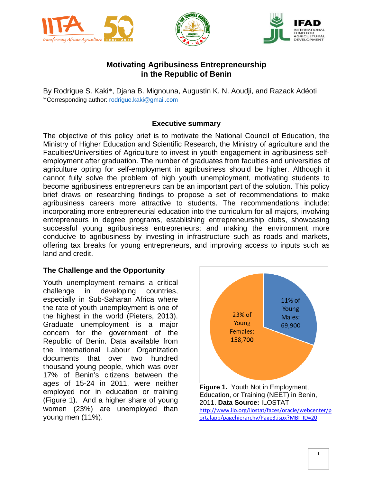





# **Motivating Agribusiness Entrepreneurship in the Republic of Benin**

By Rodrigue S. Kaki\*, Djana B. Mignouna, Augustin K. N. Aoudji, and Razack Adéoti \*Corresponding author: [rodrigue.kaki@gmail.com](mailto:rodrigue.kaki@gmail.com)

#### **Executive summary**

The objective of this policy brief is to motivate the National Council of Education, the Ministry of Higher Education and Scientific Research, the Ministry of agriculture and the Faculties/Universities of Agriculture to invest in youth engagement in agribusiness selfemployment after graduation. The number of graduates from faculties and universities of agriculture opting for self-employment in agribusiness should be higher. Although it cannot fully solve the problem of high youth unemployment, motivating students to become agribusiness entrepreneurs can be an important part of the solution. This policy brief draws on researching findings to propose a set of recommendations to make agribusiness careers more attractive to students. The recommendations include: incorporating more entrepreneurial education into the curriculum for all majors, involving entrepreneurs in degree programs, establishing entrepreneurship clubs, showcasing successful young agribusiness entrepreneurs; and making the environment more conducive to agribusiness by investing in infrastructure such as roads and markets, offering tax breaks for young entrepreneurs, and improving access to inputs such as land and credit.

### **The Challenge and the Opportunity**

Youth unemployment remains a critical challenge in developing countries, especially in Sub-Saharan Africa where the rate of youth unemployment is one of the highest in the world (Pieters, 2013). Graduate unemployment is a major concern for the government of the Republic of Benin. Data available from the International Labour Organization documents that over two hundred thousand young people, which was over 17% of Benin's citizens between the ages of 15-24 in 2011, were neither employed nor in education or training (Figure 1). And a higher share of young women (23%) are unemployed than young men (11%).



Education, or Training (NEET) in Benin, 2011. **Data Source:** ILOSTAT [http://www.ilo.org/ilostat/faces/oracle/webcenter/p](http://www.ilo.org/ilostat/faces/oracle/webcenter/portalapp/pagehierarchy/Page3.jspx?MBI_ID=20) [ortalapp/pagehierarchy/Page3.jspx?MBI\\_ID=20](http://www.ilo.org/ilostat/faces/oracle/webcenter/portalapp/pagehierarchy/Page3.jspx?MBI_ID=20)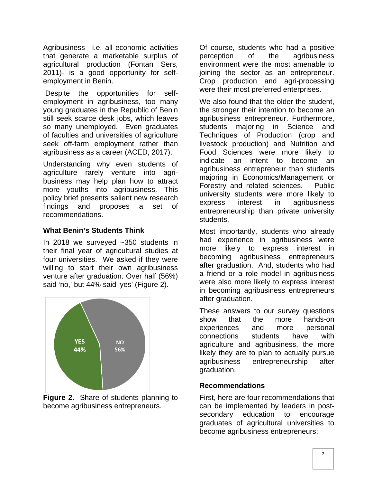Agribusiness– i.e. all economic activities that generate a marketable surplus of agricultural production (Fontan Sers, 2011)- is a good opportunity for selfemployment in Benin.

Despite the opportunities for selfemployment in agribusiness, too many young graduates in the Republic of Benin still seek scarce desk jobs, which leaves so many unemployed. Even graduates of faculties and universities of agriculture seek off-farm employment rather than agribusiness as a career (ACED, 2017).

Understanding why even students of agriculture rarely venture into agribusiness may help plan how to attract more youths into agribusiness. This policy brief presents salient new research findings and proposes a set of recommendations.

## **What Benin's Students Think**

In 2018 we surveyed ~350 students in their final year of agricultural studies at four universities. We asked if they were willing to start their own agribusiness venture after graduation. Over half (56%) said 'no,' but 44% said 'yes' (Figure 2).



**Figure 2.** Share of students planning to become agribusiness entrepreneurs.

Of course, students who had a positive perception of the agribusiness environment were the most amenable to joining the sector as an entrepreneur. Crop production and agri-processing were their most preferred enterprises.

We also found that the older the student. the stronger their intention to become an agribusiness entrepreneur. Furthermore, students majoring in Science and Techniques of Production (crop and livestock production) and Nutrition and Food Sciences were more likely to indicate an intent to become an agribusiness entrepreneur than students majoring in Economics/Management or Forestry and related sciences. Public university students were more likely to express interest in agribusiness entrepreneurship than private university students.

Most importantly, students who already had experience in agribusiness were more likely to express interest in becoming agribusiness entrepreneurs after graduation. And, students who had a friend or a role model in agribusiness were also more likely to express interest in becoming agribusiness entrepreneurs after graduation.

These answers to our survey questions show that the more hands-on experiences and more personal connections students have with agriculture and agribusiness, the more likely they are to plan to actually pursue agribusiness entrepreneurship after graduation.

### **Recommendations**

First, here are four recommendations that can be implemented by leaders in postsecondary education to encourage graduates of agricultural universities to become agribusiness entrepreneurs: